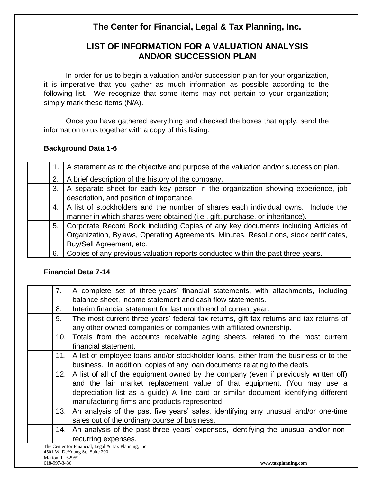# **The Center for Financial, Legal & Tax Planning, Inc.**

# **LIST OF INFORMATION FOR A VALUATION ANALYSIS AND/OR SUCCESSION PLAN**

In order for us to begin a valuation and/or succession plan for your organization, it is imperative that you gather as much information as possible according to the following list. We recognize that some items may not pertain to your organization; simply mark these items (N/A).

Once you have gathered everything and checked the boxes that apply, send the information to us together with a copy of this listing.

# **Background Data 1-6**

|    | A statement as to the objective and purpose of the valuation and/or succession plan.  |
|----|---------------------------------------------------------------------------------------|
| 2. | A brief description of the history of the company.                                    |
| 3. | A separate sheet for each key person in the organization showing experience, job      |
|    | description, and position of importance.                                              |
| 4. | A list of stockholders and the number of shares each individual owns. Include the     |
|    | manner in which shares were obtained (i.e., gift, purchase, or inheritance).          |
| 5. | Corporate Record Book including Copies of any key documents including Articles of     |
|    | Organization, Bylaws, Operating Agreements, Minutes, Resolutions, stock certificates, |
|    | Buy/Sell Agreement, etc.                                                              |
| 6. | Copies of any previous valuation reports conducted within the past three years.       |

# **Financial Data 7-14**

| 7.               | A complete set of three-years' financial statements, with attachments, including                                                                                                                                                                                                                        |
|------------------|---------------------------------------------------------------------------------------------------------------------------------------------------------------------------------------------------------------------------------------------------------------------------------------------------------|
|                  | balance sheet, income statement and cash flow statements.                                                                                                                                                                                                                                               |
| 8.               | Interim financial statement for last month end of current year.                                                                                                                                                                                                                                         |
| 9.               | The most current three years' federal tax returns, gift tax returns and tax returns of<br>any other owned companies or companies with affiliated ownership.                                                                                                                                             |
| 10.              | Totals from the accounts receivable aging sheets, related to the most current<br>financial statement.                                                                                                                                                                                                   |
| 11.1             | A list of employee loans and/or stockholder loans, either from the business or to the<br>business. In addition, copies of any loan documents relating to the debts.                                                                                                                                     |
| 12.1             | A list of all of the equipment owned by the company (even if previously written off)<br>and the fair market replacement value of that equipment. (You may use a<br>depreciation list as a guide) A line card or similar document identifying different<br>manufacturing firms and products represented. |
| 13.1             | An analysis of the past five years' sales, identifying any unusual and/or one-time<br>sales out of the ordinary course of business.                                                                                                                                                                     |
| 14.              | An analysis of the past three years' expenses, identifying the unusual and/or non-<br>recurring expenses.                                                                                                                                                                                               |
|                  | The Center for Financial, Legal & Tax Planning, Inc.                                                                                                                                                                                                                                                    |
|                  | 4501 W. DeYoung St., Suite 200                                                                                                                                                                                                                                                                          |
| Marion, IL 62959 |                                                                                                                                                                                                                                                                                                         |